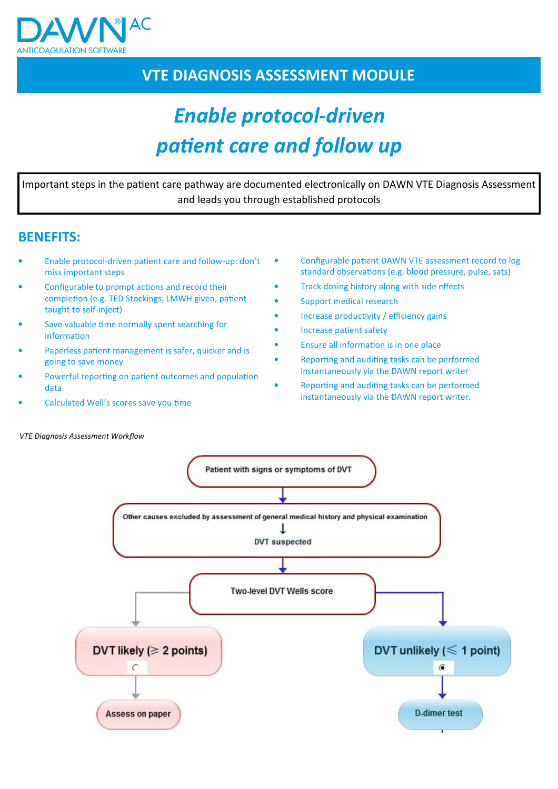

## VTE DIAGNOSIS ASSESSMENT MODULE

# Enable protocol-driven patient care and follow up

Important steps in the patient care pathway are documented electronically on DAWN VTE Diagnosis Assessment and leads you through established protocols

### BENEFITS:

- Enable protocol-driven patient care and follow-up: don't miss important steps
- Configurable to prompt actions and record their completion (e.g. TED Stockings, LMWH given, patient taught to self-inject)
- Save valuable time normally spent searching for information
- Paperless patient management is safer, quicker and is going to save money
- Powerful reporting on patient outcomes and population data
- Calculated Well's scores save you time
- Configurable patient DAWN VTE assessment record to log standard observations (e.g. blood pressure, pulse, sats)
- Track dosing history along with side effects
- Support medical research
- Increase productivity / efficiency gains
- Increase patient safety
- Ensure all information is in one place
- Reporting and auditing tasks can be performed instantaneously via the DAWN report writer
- Reporting and auditing tasks can be performed instantaneously via the DAWN report writer.



VTE Diagnosis Assessment Workflow